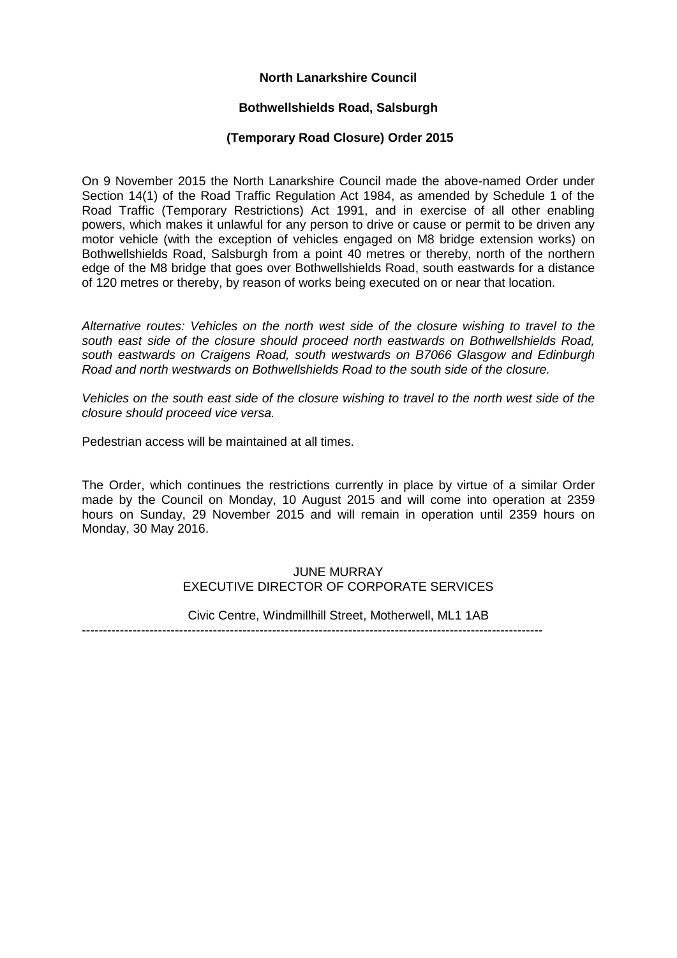# **North Lanarkshire Council**

## **Bothwellshields Road, Salsburgh**

## **(Temporary Road Closure) Order 2015**

On 9 November 2015 the North Lanarkshire Council made the above-named Order under Section 14(1) of the Road Traffic Regulation Act 1984, as amended by Schedule 1 of the Road Traffic (Temporary Restrictions) Act 1991, and in exercise of all other enabling powers, which makes it unlawful for any person to drive or cause or permit to be driven any motor vehicle (with the exception of vehicles engaged on M8 bridge extension works) on Bothwellshields Road, Salsburgh from a point 40 metres or thereby, north of the northern edge of the M8 bridge that goes over Bothwellshields Road, south eastwards for a distance of 120 metres or thereby, by reason of works being executed on or near that location.

*Alternative routes: Vehicles on the north west side of the closure wishing to travel to the south east side of the closure should proceed north eastwards on Bothwellshields Road, south eastwards on Craigens Road, south westwards on B7066 Glasgow and Edinburgh Road and north westwards on Bothwellshields Road to the south side of the closure.* 

*Vehicles on the south east side of the closure wishing to travel to the north west side of the closure should proceed vice versa.*

Pedestrian access will be maintained at all times.

The Order, which continues the restrictions currently in place by virtue of a similar Order made by the Council on Monday, 10 August 2015 and will come into operation at 2359 hours on Sunday, 29 November 2015 and will remain in operation until 2359 hours on Monday, 30 May 2016.

# JUNE MURRAY EXECUTIVE DIRECTOR OF CORPORATE SERVICES

Civic Centre, Windmillhill Street, Motherwell, ML1 1AB

-------------------------------------------------------------------------------------------------------------